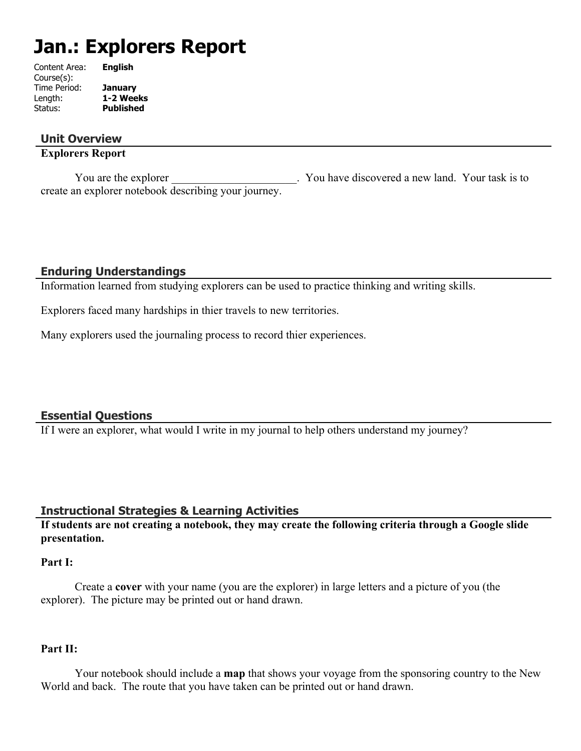# **Jan.: Explorers Report**

| Content Area: | <b>English</b>   |
|---------------|------------------|
| Course(s):    |                  |
| Time Period:  | <b>January</b>   |
| Length:       | 1-2 Weeks        |
| Status:       | <b>Published</b> |
|               |                  |

## **Unit Overview**

## **Explorers Report**

You are the explorer Theorem 2003. You have discovered a new land. Your task is to create an explorer notebook describing your journey.

## **Enduring Understandings**

Information learned from studying explorers can be used to practice thinking and writing skills.

Explorers faced many hardships in thier travels to new territories.

Many explorers used the journaling process to record thier experiences.

## **Essential Questions**

If I were an explorer, what would I write in my journal to help others understand my journey?

## **Instructional Strategies & Learning Activities**

**If students are not creating a notebook, they may create the following criteria through a Google slide presentation.** 

## **Part I:**

 Create a **cover** with your name (you are the explorer) in large letters and a picture of you (the explorer). The picture may be printed out or hand drawn.

## **Part II:**

 Your notebook should include a **map** that shows your voyage from the sponsoring country to the New World and back. The route that you have taken can be printed out or hand drawn.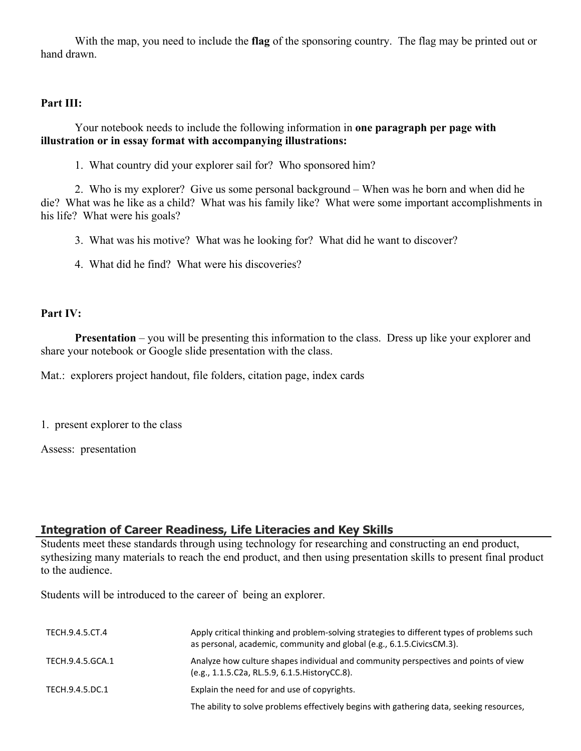With the map, you need to include the **flag** of the sponsoring country. The flag may be printed out or hand drawn.

#### **Part III:**

 Your notebook needs to include the following information in **one paragraph per page with illustration or in essay format with accompanying illustrations:**

1. What country did your explorer sail for? Who sponsored him?

 2. Who is my explorer? Give us some personal background – When was he born and when did he die? What was he like as a child? What was his family like? What were some important accomplishments in his life? What were his goals?

3. What was his motive? What was he looking for? What did he want to discover?

4. What did he find? What were his discoveries?

#### **Part IV:**

**Presentation** – you will be presenting this information to the class. Dress up like your explorer and share your notebook or Google slide presentation with the class.

Mat.: explorers project handout, file folders, citation page, index cards

1. present explorer to the class

Assess: presentation

## **Integration of Career Readiness, Life Literacies and Key Skills**

Students meet these standards through using technology for researching and constructing an end product, sythesizing many materials to reach the end product, and then using presentation skills to present final product to the audience.

Students will be introduced to the career of being an explorer.

| TECH.9.4.5.CT.4  | Apply critical thinking and problem-solving strategies to different types of problems such<br>as personal, academic, community and global (e.g., 6.1.5. Civics CM.3). |
|------------------|-----------------------------------------------------------------------------------------------------------------------------------------------------------------------|
| TECH.9.4.5.GCA.1 | Analyze how culture shapes individual and community perspectives and points of view<br>(e.g., 1.1.5.C2a, RL.5.9, 6.1.5. History CC.8).                                |
| TECH.9.4.5.DC.1  | Explain the need for and use of copyrights.                                                                                                                           |
|                  | The ability to solve problems effectively begins with gathering data, seeking resources,                                                                              |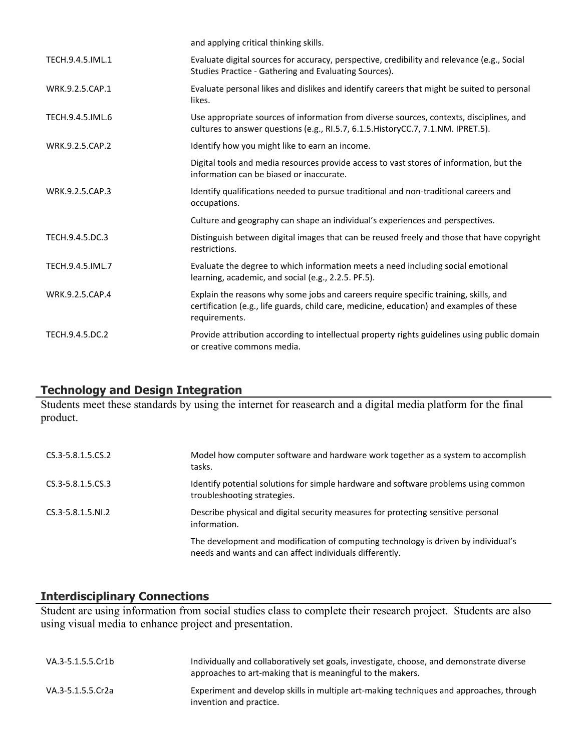|                  | and applying critical thinking skills.                                                                                                                                                            |
|------------------|---------------------------------------------------------------------------------------------------------------------------------------------------------------------------------------------------|
| TECH.9.4.5.IML.1 | Evaluate digital sources for accuracy, perspective, credibility and relevance (e.g., Social<br>Studies Practice - Gathering and Evaluating Sources).                                              |
| WRK.9.2.5.CAP.1  | Evaluate personal likes and dislikes and identify careers that might be suited to personal<br>likes.                                                                                              |
| TECH.9.4.5.IML.6 | Use appropriate sources of information from diverse sources, contexts, disciplines, and<br>cultures to answer questions (e.g., RI.5.7, 6.1.5. HistoryCC.7, 7.1.NM. IPRET.5).                      |
| WRK.9.2.5.CAP.2  | Identify how you might like to earn an income.                                                                                                                                                    |
|                  | Digital tools and media resources provide access to vast stores of information, but the<br>information can be biased or inaccurate.                                                               |
| WRK.9.2.5.CAP.3  | Identify qualifications needed to pursue traditional and non-traditional careers and<br>occupations.                                                                                              |
|                  | Culture and geography can shape an individual's experiences and perspectives.                                                                                                                     |
| TECH.9.4.5.DC.3  | Distinguish between digital images that can be reused freely and those that have copyright<br>restrictions.                                                                                       |
| TECH.9.4.5.IML.7 | Evaluate the degree to which information meets a need including social emotional<br>learning, academic, and social (e.g., 2.2.5. PF.5).                                                           |
| WRK.9.2.5.CAP.4  | Explain the reasons why some jobs and careers require specific training, skills, and<br>certification (e.g., life guards, child care, medicine, education) and examples of these<br>requirements. |
| TECH.9.4.5.DC.2  | Provide attribution according to intellectual property rights guidelines using public domain<br>or creative commons media.                                                                        |

## **Technology and Design Integration**

Students meet these standards by using the internet for reasearch and a digital media platform for the final product.

| CS.3-5.8.1.5.CS.2      | Model how computer software and hardware work together as a system to accomplish<br>tasks.                                                    |
|------------------------|-----------------------------------------------------------------------------------------------------------------------------------------------|
| CS.3-5.8.1.5.CS.3      | Identify potential solutions for simple hardware and software problems using common<br>troubleshooting strategies.                            |
| $CS.3 - 5.8.1.5. N1.2$ | Describe physical and digital security measures for protecting sensitive personal<br>information.                                             |
|                        | The development and modification of computing technology is driven by individual's<br>needs and wants and can affect individuals differently. |

## **Interdisciplinary Connections**

Student are using information from social studies class to complete their research project. Students are also using visual media to enhance project and presentation.

| VA.3-5.1.5.5.Cr1b | Individually and collaboratively set goals, investigate, choose, and demonstrate diverse<br>approaches to art-making that is meaningful to the makers. |
|-------------------|--------------------------------------------------------------------------------------------------------------------------------------------------------|
| VA.3-5.1.5.5.Cr2a | Experiment and develop skills in multiple art-making techniques and approaches, through<br>invention and practice.                                     |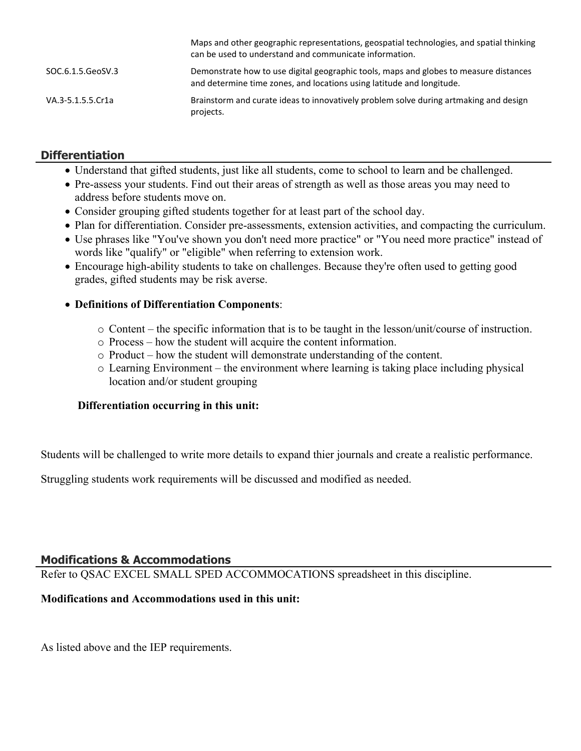|                   | Maps and other geographic representations, geospatial technologies, and spatial thinking<br>can be used to understand and communicate information.             |
|-------------------|----------------------------------------------------------------------------------------------------------------------------------------------------------------|
| SOC.6.1.5.GeoSV.3 | Demonstrate how to use digital geographic tools, maps and globes to measure distances<br>and determine time zones, and locations using latitude and longitude. |
| VA.3-5.1.5.5.Cr1a | Brainstorm and curate ideas to innovatively problem solve during artmaking and design<br>projects.                                                             |

## **Differentiation**

- Understand that gifted students, just like all students, come to school to learn and be challenged.
- Pre-assess your students. Find out their areas of strength as well as those areas you may need to address before students move on.
- Consider grouping gifted students together for at least part of the school day.
- Plan for differentiation. Consider pre-assessments, extension activities, and compacting the curriculum.
- Use phrases like "You've shown you don't need more practice" or "You need more practice" instead of words like "qualify" or "eligible" when referring to extension work.
- Encourage high-ability students to take on challenges. Because they're often used to getting good grades, gifted students may be risk averse.

## **Definitions of Differentiation Components**:

- o Content the specific information that is to be taught in the lesson/unit/course of instruction.
- o Process how the student will acquire the content information.
- o Product how the student will demonstrate understanding of the content.
- o Learning Environment the environment where learning is taking place including physical location and/or student grouping

## **Differentiation occurring in this unit:**

Students will be challenged to write more details to expand thier journals and create a realistic performance.

Struggling students work requirements will be discussed and modified as needed.

## **Modifications & Accommodations**

Refer to QSAC EXCEL SMALL SPED ACCOMMOCATIONS spreadsheet in this discipline.

## **Modifications and Accommodations used in this unit:**

As listed above and the IEP requirements.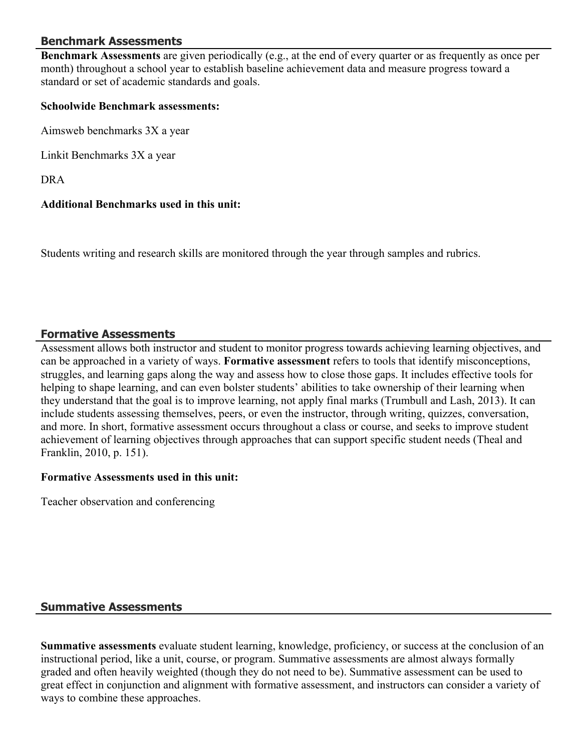## **Benchmark Assessments**

**Benchmark Assessments** are given periodically (e.g., at the end of every quarter or as frequently as once per month) throughout a school year to establish baseline achievement data and measure progress toward a standard or set of academic standards and goals.

#### **Schoolwide Benchmark assessments:**

Aimsweb benchmarks 3X a year

Linkit Benchmarks 3X a year

DRA

## **Additional Benchmarks used in this unit:**

Students writing and research skills are monitored through the year through samples and rubrics.

#### **Formative Assessments**

Assessment allows both instructor and student to monitor progress towards achieving learning objectives, and can be approached in a variety of ways. **Formative assessment** refers to tools that identify misconceptions, struggles, and learning gaps along the way and assess how to close those gaps. It includes effective tools for helping to shape learning, and can even bolster students' abilities to take ownership of their learning when they understand that the goal is to improve learning, not apply final marks (Trumbull and Lash, 2013). It can include students assessing themselves, peers, or even the instructor, through writing, quizzes, conversation, and more. In short, formative assessment occurs throughout a class or course, and seeks to improve student achievement of learning objectives through approaches that can support specific student needs (Theal and Franklin, 2010, p. 151).

#### **Formative Assessments used in this unit:**

Teacher observation and conferencing

## **Summative Assessments**

**Summative assessments** evaluate student learning, knowledge, proficiency, or success at the conclusion of an instructional period, like a unit, course, or program. Summative assessments are almost always formally graded and often heavily weighted (though they do not need to be). Summative assessment can be used to great effect in conjunction and alignment with formative assessment, and instructors can consider a variety of ways to combine these approaches.